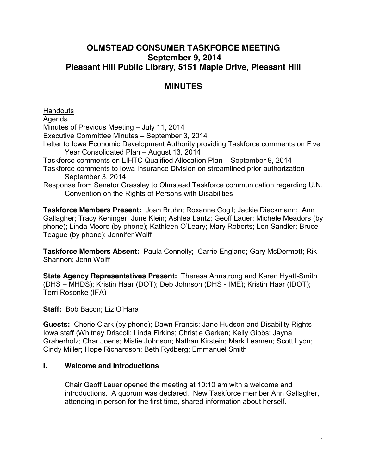## **OLMSTEAD CONSUMER TASKFORCE MEETING September 9, 2014 Pleasant Hill Public Library, 5151 Maple Drive, Pleasant Hill**

# **MINUTES**

**Handouts** Agenda Minutes of Previous Meeting – July 11, 2014 Executive Committee Minutes – September 3, 2014 Letter to Iowa Economic Development Authority providing Taskforce comments on Five Year Consolidated Plan – August 13, 2014 Taskforce comments on LIHTC Qualified Allocation Plan – September 9, 2014 Taskforce comments to Iowa Insurance Division on streamlined prior authorization – September 3, 2014 Response from Senator Grassley to Olmstead Taskforce communication regarding U.N. Convention on the Rights of Persons with Disabilities

**Taskforce Members Present:** Joan Bruhn; Roxanne Cogil; Jackie Dieckmann; Ann Gallagher; Tracy Keninger; June Klein; Ashlea Lantz; Geoff Lauer; Michele Meadors (by phone); Linda Moore (by phone); Kathleen O'Leary; Mary Roberts; Len Sandler; Bruce Teague (by phone); Jennifer Wolff

**Taskforce Members Absent:** Paula Connolly; Carrie England; Gary McDermott; Rik Shannon; Jenn Wolff

**State Agency Representatives Present:** Theresa Armstrong and Karen Hyatt-Smith (DHS – MHDS); Kristin Haar (DOT); Deb Johnson (DHS - IME); Kristin Haar (IDOT); Terri Rosonke (IFA)

**Staff:** Bob Bacon; Liz O'Hara

**Guests:** Cherie Clark (by phone); Dawn Francis; Jane Hudson and Disability Rights Iowa staff (Whitney Driscoll; Linda Firkins; Christie Gerken; Kelly Gibbs; Jayna Graherholz; Char Joens; Mistie Johnson; Nathan Kirstein; Mark Leamen; Scott Lyon; Cindy Miller; Hope Richardson; Beth Rydberg; Emmanuel Smith

#### **I. Welcome and Introductions**

Chair Geoff Lauer opened the meeting at 10:10 am with a welcome and introductions. A quorum was declared. New Taskforce member Ann Gallagher, attending in person for the first time, shared information about herself.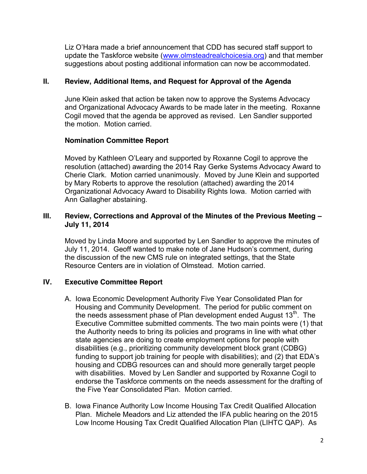Liz O'Hara made a brief announcement that CDD has secured staff support to update the Taskforce website [\(www.olmsteadrealchoicesia.org\)](http://www.olmsteadrealchoicesia.org/) and that member suggestions about posting additional information can now be accommodated.

## **II. Review, Additional Items, and Request for Approval of the Agenda**

June Klein asked that action be taken now to approve the Systems Advocacy and Organizational Advocacy Awards to be made later in the meeting. Roxanne Cogil moved that the agenda be approved as revised. Len Sandler supported the motion. Motion carried.

#### **Nomination Committee Report**

Moved by Kathleen O'Leary and supported by Roxanne Cogil to approve the resolution (attached) awarding the 2014 Ray Gerke Systems Advocacy Award to Cherie Clark. Motion carried unanimously. Moved by June Klein and supported by Mary Roberts to approve the resolution (attached) awarding the 2014 Organizational Advocacy Award to Disability Rights Iowa. Motion carried with Ann Gallagher abstaining.

#### **III. Review, Corrections and Approval of the Minutes of the Previous Meeting – July 11, 2014**

Moved by Linda Moore and supported by Len Sandler to approve the minutes of July 11, 2014. Geoff wanted to make note of Jane Hudson's comment, during the discussion of the new CMS rule on integrated settings, that the State Resource Centers are in violation of Olmstead. Motion carried.

## **IV. Executive Committee Report**

- A. Iowa Economic Development Authority Five Year Consolidated Plan for Housing and Community Development. The period for public comment on the needs assessment phase of Plan development ended August 13<sup>th</sup>. The Executive Committee submitted comments. The two main points were (1) that the Authority needs to bring its policies and programs in line with what other state agencies are doing to create employment options for people with disabilities (e.g., prioritizing community development block grant (CDBG) funding to support job training for people with disabilities); and (2) that EDA's housing and CDBG resources can and should more generally target people with disabilities. Moved by Len Sandler and supported by Roxanne Cogil to endorse the Taskforce comments on the needs assessment for the drafting of the Five Year Consolidated Plan. Motion carried.
- B. Iowa Finance Authority Low Income Housing Tax Credit Qualified Allocation Plan. Michele Meadors and Liz attended the IFA public hearing on the 2015 Low Income Housing Tax Credit Qualified Allocation Plan (LIHTC QAP). As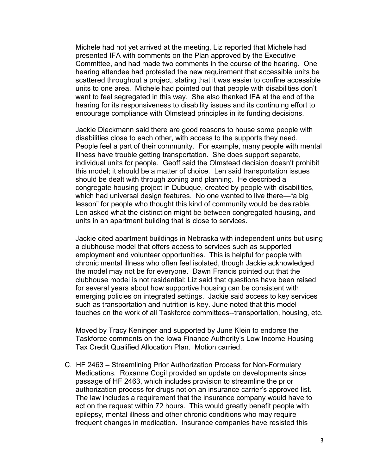Michele had not yet arrived at the meeting, Liz reported that Michele had presented IFA with comments on the Plan approved by the Executive Committee, and had made two comments in the course of the hearing. One hearing attendee had protested the new requirement that accessible units be scattered throughout a project, stating that it was easier to confine accessible units to one area. Michele had pointed out that people with disabilities don't want to feel segregated in this way. She also thanked IFA at the end of the hearing for its responsiveness to disability issues and its continuing effort to encourage compliance with Olmstead principles in its funding decisions.

Jackie Dieckmann said there are good reasons to house some people with disabilities close to each other, with access to the supports they need. People feel a part of their community. For example, many people with mental illness have trouble getting transportation. She does support separate, individual units for people. Geoff said the Olmstead decision doesn't prohibit this model; it should be a matter of choice. Len said transportation issues should be dealt with through zoning and planning. He described a congregate housing project in Dubuque, created by people with disabilities, which had universal design features. No one wanted to live there—"a big lesson" for people who thought this kind of community would be desirable. Len asked what the distinction might be between congregated housing, and units in an apartment building that is close to services.

Jackie cited apartment buildings in Nebraska with independent units but using a clubhouse model that offers access to services such as supported employment and volunteer opportunities. This is helpful for people with chronic mental illness who often feel isolated, though Jackie acknowledged the model may not be for everyone. Dawn Francis pointed out that the clubhouse model is not residential; Liz said that questions have been raised for several years about how supportive housing can be consistent with emerging policies on integrated settings. Jackie said access to key services such as transportation and nutrition is key. June noted that this model touches on the work of all Taskforce committees--transportation, housing, etc.

Moved by Tracy Keninger and supported by June Klein to endorse the Taskforce comments on the Iowa Finance Authority's Low Income Housing Tax Credit Qualified Allocation Plan. Motion carried.

C. HF 2463 – Streamlining Prior Authorization Process for Non-Formulary Medications. Roxanne Cogil provided an update on developments since passage of HF 2463, which includes provision to streamline the prior authorization process for drugs not on an insurance carrier's approved list. The law includes a requirement that the insurance company would have to act on the request within 72 hours. This would greatly benefit people with epilepsy, mental illness and other chronic conditions who may require frequent changes in medication. Insurance companies have resisted this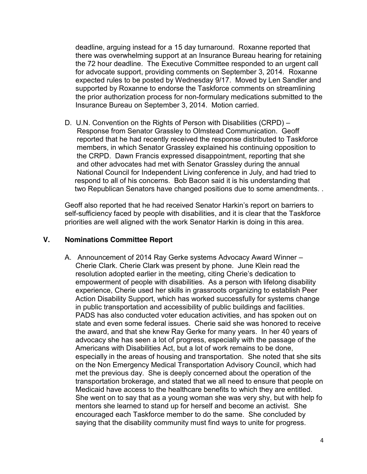deadline, arguing instead for a 15 day turnaround. Roxanne reported that there was overwhelming support at an Insurance Bureau hearing for retaining the 72 hour deadline. The Executive Committee responded to an urgent call for advocate support, providing comments on September 3, 2014. Roxanne expected rules to be posted by Wednesday 9/17. Moved by Len Sandler and supported by Roxanne to endorse the Taskforce comments on streamlining the prior authorization process for non-formulary medications submitted to the Insurance Bureau on September 3, 2014. Motion carried.

D. U.N. Convention on the Rights of Person with Disabilities (CRPD) – Response from Senator Grassley to Olmstead Communication. Geoff reported that he had recently received the response distributed to Taskforce members, in which Senator Grassley explained his continuing opposition to the CRPD. Dawn Francis expressed disappointment, reporting that she and other advocates had met with Senator Grassley during the annual National Council for Independent Living conference in July, and had tried to respond to all of his concerns. Bob Bacon said it is his understanding that two Republican Senators have changed positions due to some amendments. .

Geoff also reported that he had received Senator Harkin's report on barriers to self-sufficiency faced by people with disabilities, and it is clear that the Taskforce priorities are well aligned with the work Senator Harkin is doing in this area.

#### **V. Nominations Committee Report**

A. Announcement of 2014 Ray Gerke systems Advocacy Award Winner – Cherie Clark. Cherie Clark was present by phone. June Klein read the resolution adopted earlier in the meeting, citing Cherie's dedication to empowerment of people with disabilities. As a person with lifelong disability experience, Cherie used her skills in grassroots organizing to establish Peer Action Disability Support, which has worked successfully for systems change in public transportation and accessibility of public buildings and facilities. PADS has also conducted voter education activities, and has spoken out on state and even some federal issues. Cherie said she was honored to receive the award, and that she knew Ray Gerke for many years. In her 40 years of advocacy she has seen a lot of progress, especially with the passage of the Americans with Disabilities Act, but a lot of work remains to be done, especially in the areas of housing and transportation. She noted that she sits on the Non Emergency Medical Transportation Advisory Council, which had met the previous day. She is deeply concerned about the operation of the transportation brokerage, and stated that we all need to ensure that people on Medicaid have access to the healthcare benefits to which they are entitled. She went on to say that as a young woman she was very shy, but with help fo mentors she learned to stand up for herself and become an activist. She encouraged each Taskforce member to do the same. She concluded by saying that the disability community must find ways to unite for progress.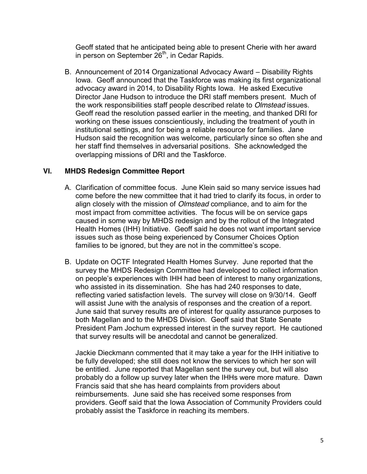Geoff stated that he anticipated being able to present Cherie with her award in person on September 26<sup>th</sup>, in Cedar Rapids.

B. Announcement of 2014 Organizational Advocacy Award – Disability Rights Iowa. Geoff announced that the Taskforce was making its first organizational advocacy award in 2014, to Disability Rights Iowa. He asked Executive Director Jane Hudson to introduce the DRI staff members present. Much of the work responsibilities staff people described relate to *Olmstead* issues. Geoff read the resolution passed earlier in the meeting, and thanked DRI for working on these issues conscientiously, including the treatment of youth in institutional settings, and for being a reliable resource for families. Jane Hudson said the recognition was welcome, particularly since so often she and her staff find themselves in adversarial positions. She acknowledged the overlapping missions of DRI and the Taskforce.

#### **VI. MHDS Redesign Committee Report**

- A. Clarification of committee focus. June Klein said so many service issues had come before the new committee that it had tried to clarify its focus, in order to align closely with the mission of *Olmstead* compliance, and to aim for the most impact from committee activities. The focus will be on service gaps caused in some way by MHDS redesign and by the rollout of the Integrated Health Homes (IHH) Initiative. Geoff said he does not want important service issues such as those being experienced by Consumer Choices Option families to be ignored, but they are not in the committee's scope.
- B. Update on OCTF Integrated Health Homes Survey. June reported that the survey the MHDS Redesign Committee had developed to collect information on people's experiences with IHH had been of interest to many organizations, who assisted in its dissemination. She has had 240 responses to date, reflecting varied satisfaction levels. The survey will close on 9/30/14. Geoff will assist June with the analysis of responses and the creation of a report. June said that survey results are of interest for quality assurance purposes to both Magellan and to the MHDS Division. Geoff said that State Senate President Pam Jochum expressed interest in the survey report. He cautioned that survey results will be anecdotal and cannot be generalized.

Jackie Dieckmann commented that it may take a year for the IHH initiative to be fully developed; she still does not know the services to which her son will be entitled. June reported that Magellan sent the survey out, but will also probably do a follow up survey later when the IHHs were more mature. Dawn Francis said that she has heard complaints from providers about reimbursements. June said she has received some responses from providers. Geoff said that the Iowa Association of Community Providers could probably assist the Taskforce in reaching its members.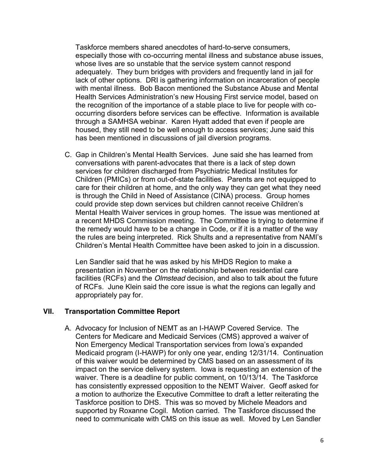Taskforce members shared anecdotes of hard-to-serve consumers, especially those with co-occurring mental illness and substance abuse issues, whose lives are so unstable that the service system cannot respond adequately. They burn bridges with providers and frequently land in jail for lack of other options. DRI is gathering information on incarceration of people with mental illness. Bob Bacon mentioned the Substance Abuse and Mental Health Services Administration's new Housing First service model, based on the recognition of the importance of a stable place to live for people with cooccurring disorders before services can be effective. Information is available through a SAMHSA webinar. Karen Hyatt added that even if people are housed, they still need to be well enough to access services; June said this has been mentioned in discussions of jail diversion programs.

C. Gap in Children's Mental Health Services. June said she has learned from conversations with parent-advocates that there is a lack of step down services for children discharged from Psychiatric Medical Institutes for Children (PMICs) or from out-of-state facilities. Parents are not equipped to care for their children at home, and the only way they can get what they need is through the Child in Need of Assistance (CINA) process. Group homes could provide step down services but children cannot receive Children's Mental Health Waiver services in group homes. The issue was mentioned at a recent MHDS Commission meeting. The Committee is trying to determine if the remedy would have to be a change in Code, or if it is a matter of the way the rules are being interpreted. Rick Shults and a representative from NAMI's Children's Mental Health Committee have been asked to join in a discussion.

Len Sandler said that he was asked by his MHDS Region to make a presentation in November on the relationship between residential care facilities (RCFs) and the *Olmstead* decision, and also to talk about the future of RCFs. June Klein said the core issue is what the regions can legally and appropriately pay for.

#### **VII. Transportation Committee Report**

A. Advocacy for Inclusion of NEMT as an I-HAWP Covered Service. The Centers for Medicare and Medicaid Services (CMS) approved a waiver of Non Emergency Medical Transportation services from Iowa's expanded Medicaid program (I-HAWP) for only one year, ending 12/31/14. Continuation of this waiver would be determined by CMS based on an assessment of its impact on the service delivery system. Iowa is requesting an extension of the waiver. There is a deadline for public comment, on 10/13/14. The Taskforce has consistently expressed opposition to the NEMT Waiver. Geoff asked for a motion to authorize the Executive Committee to draft a letter reiterating the Taskforce position to DHS. This was so moved by Michele Meadors and supported by Roxanne Cogil. Motion carried. The Taskforce discussed the need to communicate with CMS on this issue as well. Moved by Len Sandler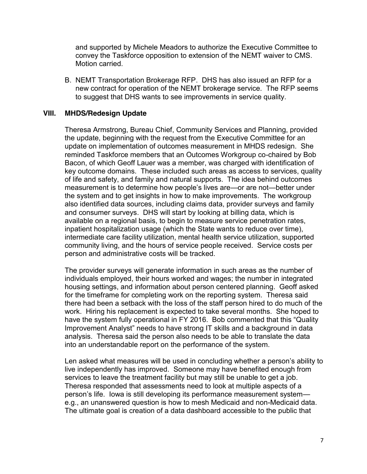and supported by Michele Meadors to authorize the Executive Committee to convey the Taskforce opposition to extension of the NEMT waiver to CMS. Motion carried.

B. NEMT Transportation Brokerage RFP. DHS has also issued an RFP for a new contract for operation of the NEMT brokerage service. The RFP seems to suggest that DHS wants to see improvements in service quality.

#### **VIII. MHDS/Redesign Update**

Theresa Armstrong, Bureau Chief, Community Services and Planning, provided the update, beginning with the request from the Executive Committee for an update on implementation of outcomes measurement in MHDS redesign. She reminded Taskforce members that an Outcomes Workgroup co-chaired by Bob Bacon, of which Geoff Lauer was a member, was charged with identification of key outcome domains. These included such areas as access to services, quality of life and safety, and family and natural supports. The idea behind outcomes measurement is to determine how people's lives are—or are not—better under the system and to get insights in how to make improvements. The workgroup also identified data sources, including claims data, provider surveys and family and consumer surveys. DHS will start by looking at billing data, which is available on a regional basis, to begin to measure service penetration rates, inpatient hospitalization usage (which the State wants to reduce over time), intermediate care facility utilization, mental health service utilization, supported community living, and the hours of service people received. Service costs per person and administrative costs will be tracked.

The provider surveys will generate information in such areas as the number of individuals employed, their hours worked and wages; the number in integrated housing settings, and information about person centered planning. Geoff asked for the timeframe for completing work on the reporting system. Theresa said there had been a setback with the loss of the staff person hired to do much of the work. Hiring his replacement is expected to take several months. She hoped to have the system fully operational in FY 2016. Bob commented that this "Quality Improvement Analyst" needs to have strong IT skills and a background in data analysis. Theresa said the person also needs to be able to translate the data into an understandable report on the performance of the system.

Len asked what measures will be used in concluding whether a person's ability to live independently has improved. Someone may have benefited enough from services to leave the treatment facility but may still be unable to get a job. Theresa responded that assessments need to look at multiple aspects of a person's life. Iowa is still developing its performance measurement system e.g., an unanswered question is how to mesh Medicaid and non-Medicaid data. The ultimate goal is creation of a data dashboard accessible to the public that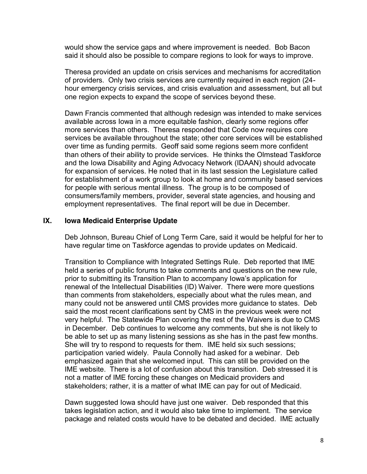would show the service gaps and where improvement is needed. Bob Bacon said it should also be possible to compare regions to look for ways to improve.

Theresa provided an update on crisis services and mechanisms for accreditation of providers. Only two crisis services are currently required in each region (24 hour emergency crisis services, and crisis evaluation and assessment, but all but one region expects to expand the scope of services beyond these.

Dawn Francis commented that although redesign was intended to make services available across Iowa in a more equitable fashion, clearly some regions offer more services than others. Theresa responded that Code now requires core services be available throughout the state; other core services will be established over time as funding permits. Geoff said some regions seem more confident than others of their ability to provide services. He thinks the Olmstead Taskforce and the Iowa Disability and Aging Advocacy Network (IDAAN) should advocate for expansion of services. He noted that in its last session the Legislature called for establishment of a work group to look at home and community based services for people with serious mental illness. The group is to be composed of consumers/family members, provider, several state agencies, and housing and employment representatives. The final report will be due in December.

#### **IX. Iowa Medicaid Enterprise Update**

Deb Johnson, Bureau Chief of Long Term Care, said it would be helpful for her to have regular time on Taskforce agendas to provide updates on Medicaid.

Transition to Compliance with Integrated Settings Rule. Deb reported that IME held a series of public forums to take comments and questions on the new rule, prior to submitting its Transition Plan to accompany Iowa's application for renewal of the Intellectual Disabilities (ID) Waiver. There were more questions than comments from stakeholders, especially about what the rules mean, and many could not be answered until CMS provides more guidance to states. Deb said the most recent clarifications sent by CMS in the previous week were not very helpful. The Statewide Plan covering the rest of the Waivers is due to CMS in December. Deb continues to welcome any comments, but she is not likely to be able to set up as many listening sessions as she has in the past few months. She will try to respond to requests for them. IME held six such sessions; participation varied widely. Paula Connolly had asked for a webinar. Deb emphasized again that she welcomed input. This can still be provided on the IME website. There is a lot of confusion about this transition. Deb stressed it is not a matter of IME forcing these changes on Medicaid providers and stakeholders; rather, it is a matter of what IME can pay for out of Medicaid.

Dawn suggested Iowa should have just one waiver. Deb responded that this takes legislation action, and it would also take time to implement. The service package and related costs would have to be debated and decided. IME actually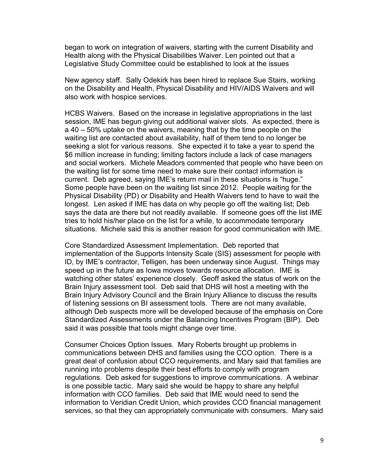began to work on integration of waivers, starting with the current Disability and Health along with the Physical Disabilities Waiver. Len pointed out that a Legislative Study Committee could be established to look at the issues

New agency staff. Sally Odekirk has been hired to replace Sue Stairs, working on the Disability and Health, Physical Disability and HIV/AIDS Waivers and will also work with hospice services.

HCBS Waivers. Based on the increase in legislative appropriations in the last session, IME has begun giving out additional waiver slots. As expected, there is a 40 – 50% uptake on the waivers, meaning that by the time people on the waiting list are contacted about availability, half of them tend to no longer be seeking a slot for various reasons. She expected it to take a year to spend the \$6 million increase in funding; limiting factors include a lack of case managers and social workers. Michele Meadors commented that people who have been on the waiting list for some time need to make sure their contact information is current. Deb agreed, saying IME's return mail in these situations is "huge." Some people have been on the waiting list since 2012. People waiting for the Physical Disability (PD) or Disability and Health Waivers tend to have to wait the longest. Len asked if IME has data on why people go off the waiting list; Deb says the data are there but not readily available. If someone goes off the list IME tries to hold his/her place on the list for a while, to accommodate temporary situations. Michele said this is another reason for good communication with IME.

Core Standardized Assessment Implementation. Deb reported that implementation of the Supports Intensity Scale (SIS) assessment for people with ID, by IME's contractor, Telligen, has been underway since August. Things may speed up in the future as Iowa moves towards resource allocation. IME is watching other states' experience closely. Geoff asked the status of work on the Brain Injury assessment tool. Deb said that DHS will host a meeting with the Brain Injury Advisory Council and the Brain Injury Alliance to discuss the results of listening sessions on BI assessment tools. There are not many available, although Deb suspects more will be developed because of the emphasis on Core Standardized Assessments under the Balancing Incentives Program (BIP). Deb said it was possible that tools might change over time.

Consumer Choices Option Issues. Mary Roberts brought up problems in communications between DHS and families using the CCO option. There is a great deal of confusion about CCO requirements, and Mary said that families are running into problems despite their best efforts to comply with program regulations. Deb asked for suggestions to improve communications. A webinar is one possible tactic. Mary said she would be happy to share any helpful information with CCO families. Deb said that IME would need to send the information to Veridian Credit Union, which provides CCO financial management services, so that they can appropriately communicate with consumers. Mary said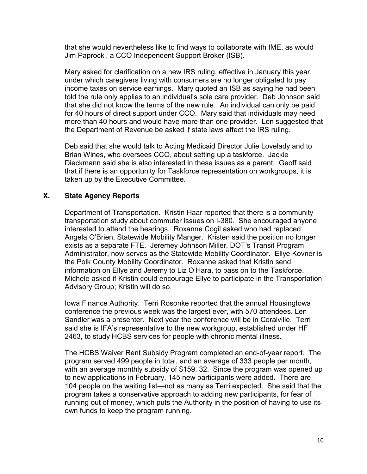that she would nevertheless like to find ways to collaborate with IME, as would Jim Paprocki, a CCO Independent Support Broker (ISB).

Mary asked for clarification on a new IRS ruling, effective in January this year, under which caregivers living with consumers are no longer obligated to pay income taxes on service earnings. Mary quoted an ISB as saying he had been told the rule only applies to an individual's sole care provider. Deb Johnson said that she did not know the terms of the new rule. An individual can only be paid for 40 hours of direct support under CCO. Mary said that individuals may need more than 40 hours and would have more than one provider. Len suggested that the Department of Revenue be asked if state laws affect the IRS ruling.

Deb said that she would talk to Acting Medicaid Director Julie Lovelady and to Brian Wines, who oversees CCO, about setting up a taskforce. Jackie Dieckmann said she is also interested in these issues as a parent. Geoff said that if there is an opportunity for Taskforce representation on workgroups, it is taken up by the Executive Committee.

## **X. State Agency Reports**

Department of Transportation. Kristin Haar reported that there is a community transportation study about commuter issues on I-380. She encouraged anyone interested to attend the hearings. Roxanne Cogil asked who had replaced Angela O'Brien, Statewide Mobility Manger. Kristen said the position no longer exists as a separate FTE. Jeremey Johnson Miller, DOT's Transit Program Administrator, now serves as the Statewide Mobility Coordinator. Ellye Kovner is the Polk County Mobility Coordinator. Roxanne asked that Kristin send information on Ellye and Jeremy to Liz O'Hara, to pass on to the Taskforce. Michele asked if Kristin could encourage Ellye to participate in the Transportation Advisory Group; Kristin will do so.

Iowa Finance Authority. Terri Rosonke reported that the annual HousingIowa conference the previous week was the largest ever, with 570 attendees. Len Sandler was a presenter. Next year the conference will be in Coralville. Terri said she is IFA's representative to the new workgroup, established under HF 2463, to study HCBS services for people with chronic mental illness.

The HCBS Waiver Rent Subsidy Program completed an end-of-year report. The program served 499 people in total, and an average of 333 people per month, with an average monthly subsidy of \$159. 32. Since the program was opened up to new applications in February, 145 new participants were added. There are 104 people on the waiting list—not as many as Terri expected. She said that the program takes a conservative approach to adding new participants, for fear of running out of money, which puts the Authority in the position of having to use its own funds to keep the program running.